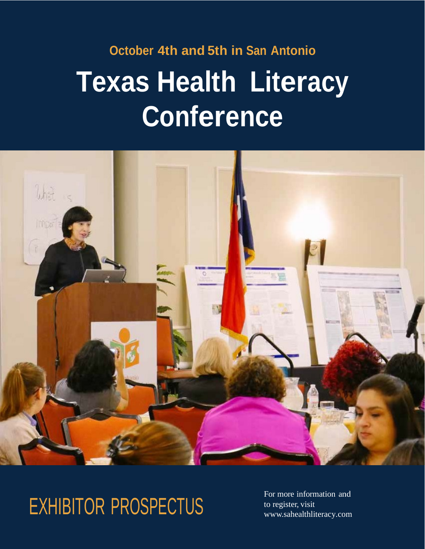## **October 4th and 5th in San Antonio Texas Health Literacy Conference**



## EXHIBITOR PROSPECTUS

For more information and to register, visit [www.sahealthliteracy.com](http://www.i.healthliteractsa.org/)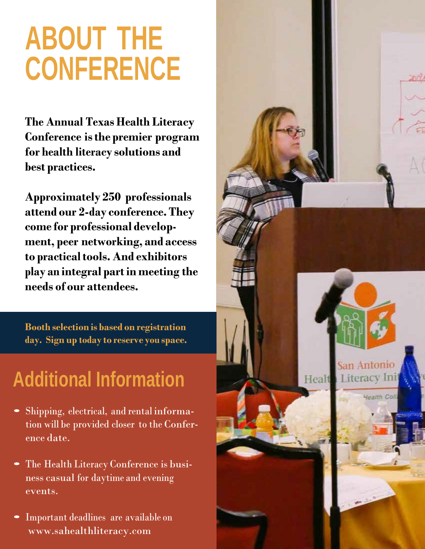## **ABOUT THE CONFERENCE**

**The Annual Texas Health Literacy Conference isthe premier program for health literacy solutions and best practices.**

**Approximately 250 professionals attend our 2-day conference. They come for professional development, peer networking, and access to practicaltools. And exhibitors play an integral partin meeting the needs of our attendees.**

**Booth selection is based on registration day. Sign up today to reserve you space.**

## **Additional Information**

- Shipping, electrical, and rental information will be provided closer to the Conference date.
- The Health Literacy Conference is business casual for daytime and evening events.
- Important deadlines are available on www.sahealthliteracy.com

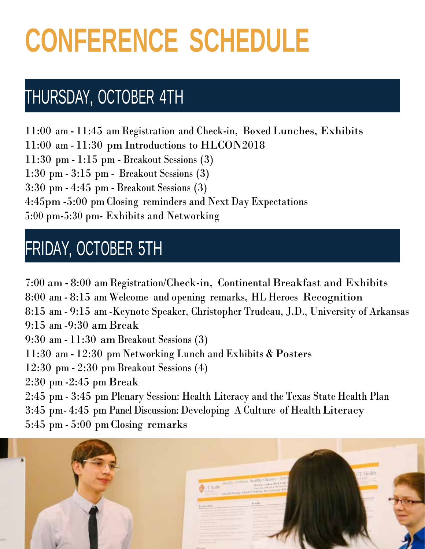# **CONFERENCE SCHEDULE**

### THURSDAY, OCTOBER 4TH

11:00 am - 11:45 am Registration and Check-in, Boxed Lunches, Exhibits 11:00 am - 11:30 pm Introductions to HLCON2018 11:30 pm - 1:15 pm - Breakout Sessions (3) 1:30 pm - 3:15 pm - Breakout Sessions (3) 3:30 pm - 4:45 pm - Breakout Sessions (3) 4:45pm -5:00 pm Closing reminders and Next Day Expectations 5:00 pm-5:30 pm- Exhibits and Networking

### FRIDAY, OCTOBER 5TH

7:00 am - 8:00 am Registration/Check-in, Continental Breakfast and Exhibits 8:00 am - 8:15 amWelcome and opening remarks, HL Heroes Recognition 8:15 am - 9:15 am -Keynote Speaker, Christopher Trudeau, J.D., University of Arkansas 9:15 am -9:30 am Break 9:30 am - 11:30 am Breakout Sessions (3) 11:30 am - 12:30 pm Networking Lunch and Exhibits & Posters 12:30 pm - 2:30 pm Breakout Sessions (4) 2:30 pm -2:45 pm Break 2:45 pm - 3:45 pm Plenary Session: Health Literacy and the Texas State Health Plan 3:45 pm- 4:45 pm Panel Discussion: Developing A Culture of Health Literacy 5:45 pm - 5:00 pm Closing remarks

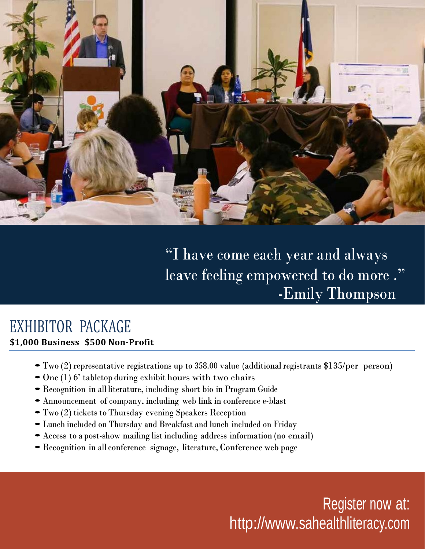

"I have come each year and always leave feeling empowered to do more ." -Emily Thompson

#### EXHIBITOR PACKAGE **\$1,000 Business \$500 Non-Profit**

- •Two (2) representative registrations up to 358.00 value (additional registrants \$135/per person)
- One (1) 6' tabletop during exhibit hours with two chairs
- •Recognition in all literature, including short bio in Program Guide
- •Announcement of company, including web link in conference e-blast
- •Two (2) tickets to Thursday evening Speakers Reception
- •Lunch included on Thursday and Breakfast and lunch included on Friday
- •Access to <sup>a</sup> post-show mailing list including address information (no email)
- •Recognition in all conference signage, literature, Conference web page

Register now at: [http://www.sahealthliteracy.com](http://www.sahealthliteracy.com/)